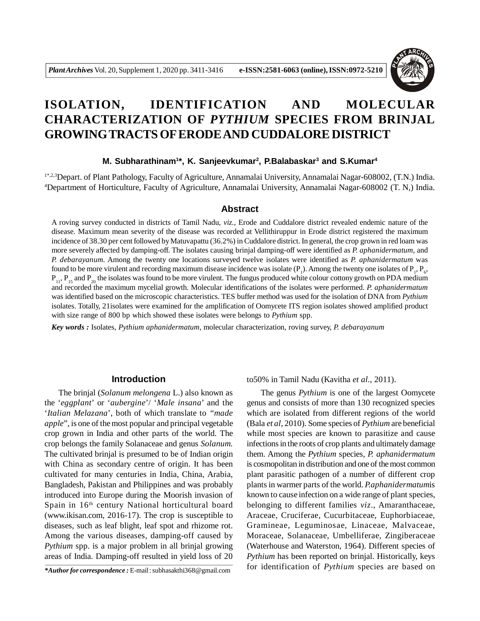

# **ISOLATION, IDENTIFICATION AND MOLECULAR CHARACTERIZATION OF** *PYTHIUM* **SPECIES FROM BRINJAL GROWINGTRACTS OF ERODE AND CUDDALORE DISTRICT**

## **M. Subharathinam<sup>1</sup> \*, K. Sanjeevkumar<sup>2</sup> , P.Balabaskar<sup>3</sup> and S.Kumar<sup>4</sup>**

1\*,2,3Depart. of Plant Pathology, Faculty of Agriculture, Annamalai University, Annamalai Nagar-608002, (T.N.) India. <sup>4</sup>Department of Horticulture, Faculty of Agriculture, Annamalai University, Annamalai Nagar-608002 (T. N,) India.

#### **Abstract**

A roving survey conducted in districts of Tamil Nadu, *viz.,* Erode and Cuddalore district revealed endemic nature of the disease. Maximum mean severity of the disease was recorded at Vellithiruppur in Erode district registered the maximum incidence of 38.30 per cent followed by Matuvapattu (36.2%) in Cuddalore district. In general, the crop grown in red loam was more severely affected by damping-off. The isolates causing brinjal damping-off were identified as *P. aphanidermatum,* and *P. debarayanum.* Among the twenty one locations surveyed twelve isolates were identified as *P. aphanidermatum* was found to be more virulent and recording maximum disease incidence was isolate  $(P_1)$ . Among the twenty one isolates of  $P_1$ ,  $P_6$ ,  $P_{11}$ ,  $P_{15}$  and  $P_{20}$  the isolates was found to be more virulent. The fungus produced white colour cottony growth on PDA medium and recorded the maximum mycelial growth. Molecular identifications of the isolates were performed. *P. aphanidermatum* was identified based on the microscopic characteristics. TES buffer method was used for the isolation of DNA from *Pythium* isolates. Totally, 21isolates were examined for the amplification of Oomycete ITS region isolates showed amplified product with size range of 800 bp which showed these isolates were belongs to *Pythium* spp.

*Key words :* Isolates, *Pythium aphanidermatum*, molecular characterization, roving survey, *P. debarayanum*

## **Introduction**

The brinjal (*Solanum melongena* L.) also known as the '*eggplant*' or '*aubergine*'/ '*Male insana*' and the '*Italian Melazana*', both of which translate to *"made apple*", is one of the most popular and principal vegetable crop grown in India and other parts of the world. The crop belongs the family Solanaceae and genus *Solanum.* The cultivated brinjal is presumed to be of Indian origin with China as secondary centre of origin. It has been cultivated for many centuries in India, China, Arabia, Bangladesh, Pakistan and Philippines and was probably introduced into Europe during the Moorish invasion of Spain in 16<sup>th</sup> century National horticultural board (www.ikisan.com, 2016-17). The crop is susceptible to diseases, such as leaf blight, leaf spot and rhizome rot. Among the various diseases, damping-off caused by *Pythium* spp. is a major problem in all brinjal growing areas of India. Damping-off resulted in yield loss of 20

*\*Author for correspondence :* E-mail : subhasakthi368@gmail.com

to50% in Tamil Nadu (Kavitha *et al.*, 2011).

The genus *Pythium* is one of the largest Oomycete genus and consists of more than 130 recognized species which are isolated from different regions of the world (Bala *et al*, 2010). Some species of *Pythium* are beneficial while most species are known to parasitize and cause infections in the roots of crop plants and ultimately damage them. Among the *Pythium* species, *P. aphanidermatum* is cosmopolitan in distribution and one of the most common plant parasitic pathogen of a number of different crop plants in warmer parts of the world. *P.aphanidermatum*is known to cause infection on a wide range of plant species, belonging to different families *viz*., Amaranthaceae, Araceae, Cruciferae, Cucurbitaceae, Euphorbiaceae, Gramineae, Leguminosae, Linaceae, Malvaceae, Moraceae, Solanaceae, Umbelliferae, Zingiberaceae (Waterhouse and Waterston, 1964). Different species of *Pythium* has been reported on brinjal. Historically, keys for identification of *Pythium* species are based on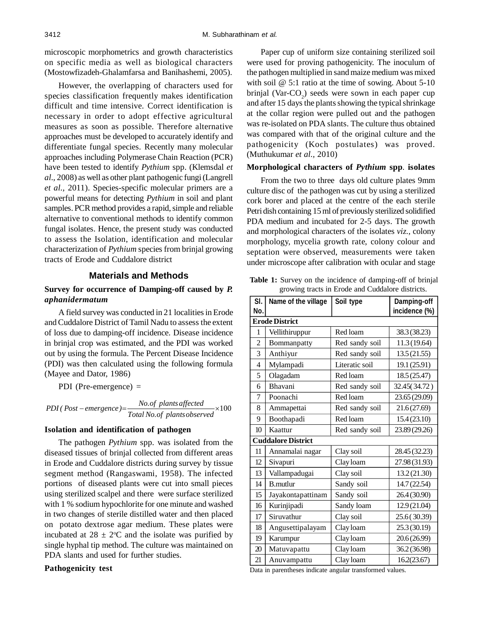microscopic morphometrics and growth characteristics on specific media as well as biological characters (Mostowfizadeh-Ghalamfarsa and Banihashemi, 2005).

However, the overlapping of characters used for species classification frequently makes identification difficult and time intensive. Correct identification is necessary in order to adopt effective agricultural measures as soon as possible. Therefore alternative approaches must be developed to accurately identify and differentiate fungal species. Recently many molecular approaches including Polymerase Chain Reaction (PCR) have been tested to identify *Pythium* spp. (Klemsdal *et al.,* 2008) as well as other plant pathogenic fungi (Langrell *et al.,* 2011). Species-specific molecular primers are a powerful means for detecting *Pythium* in soil and plant samples. PCR method provides a rapid, simple and reliable alternative to conventional methods to identify common fungal isolates. Hence, the present study was conducted to assess the Isolation, identification and molecular characterization of *Pythium* species from brinjal growing tracts of Erode and Cuddalore district

## **Materials and Methods**

## **Survey for occurrence of Damping-off caused by** *P. aphanidermatum*

A field survey was conducted in 21 localities in Erode and Cuddalore District of Tamil Nadu to assess the extent of loss due to damping-off incidence. Disease incidence in brinjal crop was estimated, and the PDI was worked out by using the formula. The Percent Disease Incidence (PDI) was then calculated using the following formula (Mayee and Dator, 1986)

PDI (Pre-emergence) =

 100 *Total No.of plantsobserved No.of plantsaffected PDI( Post emergence)*

## **Isolation and identification of pathogen**

The pathogen *Pythium* spp. was isolated from the diseased tissues of brinjal collected from different areas in Erode and Cuddalore districts during survey by tissue segment method (Rangaswami, 1958). The infected portions of diseased plants were cut into small pieces using sterilized scalpel and there were surface sterilized with 1 % sodium hypochlorite for one minute and washed in two changes of sterile distilled water and then placed on potato dextrose agar medium. These plates were incubated at  $28 \pm 2$ °C and the isolate was purified by single hyphal tip method. The culture was maintained on PDA slants and used for further studies.

### **Pathogenicity test**

Paper cup of uniform size containing sterilized soil were used for proving pathogenicity. The inoculum of the pathogen multiplied in sand maize medium was mixed with soil @ 5:1 ratio at the time of sowing. About 5-10 brinjal (Var- $CO_2$ ) seeds were sown in each paper cup and after 15 days the plants showing the typical shrinkage at the collar region were pulled out and the pathogen was re-isolated on PDA slants. The culture thus obtained was compared with that of the original culture and the pathogenicity (Koch postulates) was proved. (Muthukumar *et al.,* 2010)

## **Morphological characters of** *Pythium* **spp**. **isolates**

From the two to three days old culture plates 9mm culture disc of the pathogen was cut by using a sterilized cork borer and placed at the centre of the each sterile Petri dish containing 15 ml of previously sterilized solidified PDA medium and incubated for 2-5 days. The growth and morphological characters of the isolates *viz.,* colony morphology, mycelia growth rate, colony colour and septation were observed, measurements were taken under microscope after calibration with ocular and stage

**Table 1:** Survey on the incidence of damping-off of brinjal growing tracts in Erode and Cuddalore districts.

| SI.<br>No.                | Name of the village | Soil type      | Damping-off<br>incidence (%) |  |  |  |  |
|---------------------------|---------------------|----------------|------------------------------|--|--|--|--|
| <b>Erode District</b>     |                     |                |                              |  |  |  |  |
| 1                         | Vellithiruppur      | Red loam       | 38.3 (38.23)                 |  |  |  |  |
| $\overline{2}$            | Bommanpatty         | Red sandy soil | 11.3(19.64)                  |  |  |  |  |
| 3                         | Anthiyur            | Red sandy soil | 13.5(21.55)                  |  |  |  |  |
| $\overline{4}$            | Mylampadi           | Literatic soil | 19.1 (25.91)                 |  |  |  |  |
| 5                         | Olagadam            | Red loam       | 18.5(25.47)                  |  |  |  |  |
| 6                         | Bhavani             | Red sandy soil | 32.45(34.72)                 |  |  |  |  |
| 7                         | Poonachi            | Red loam       | 23.65 (29.09)                |  |  |  |  |
| 8                         | Ammapettai          | Red sandy soil | 21.6(27.69)                  |  |  |  |  |
| 9                         | Boothapadi          | Red loam       | 15.4(23.10)                  |  |  |  |  |
| 10                        | Kaattur             | Red sandy soil | 23.89 (29.26)                |  |  |  |  |
| <b>Cuddalore District</b> |                     |                |                              |  |  |  |  |
| 11                        | Annamalai nagar     | Clay soil      | 28.45 (32.23)                |  |  |  |  |
| 12                        | Sivapuri            | Clay loam      | 27.98 (31.93)                |  |  |  |  |
| 13                        | Vallampadugai       | Clay soil      | 13.2(21.30)                  |  |  |  |  |
| 14                        | <b>B.mutlur</b>     | Sandy soil     | 14.7 (22.54)                 |  |  |  |  |
| 15                        | Jayakontapattinam   | Sandy soil     | 26.4 (30.90)                 |  |  |  |  |
| 16                        | Kurinjipadi         | Sandy loam     | 12.9(21.04)                  |  |  |  |  |
| 17                        | Siruvathur          | Clay soil      | 25.6 (30.39)                 |  |  |  |  |
| 18                        | Angusettipalayam    | Clay loam      | 25.3 (30.19)                 |  |  |  |  |
| 19                        | Karumpur            | Clay loam      | 20.6(26.99)                  |  |  |  |  |
| 20                        | Matuvapattu         | Clay loam      | 36.2 (36.98)                 |  |  |  |  |
| 21                        | Anuvampattu         | Clay loam      | 16.2(23.67)                  |  |  |  |  |

Data in parentheses indicate angular transformed values.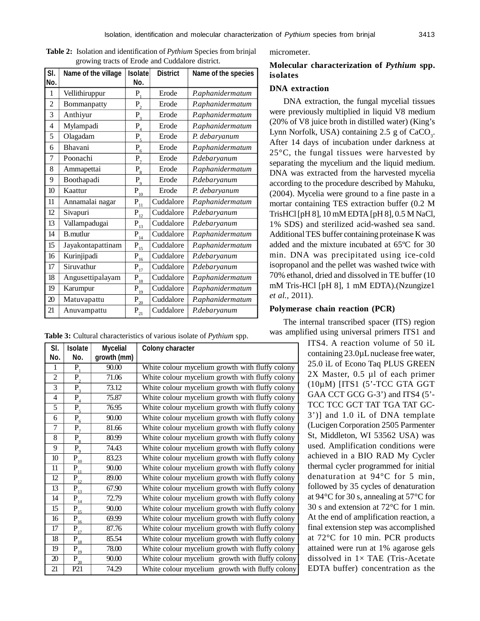| SI.<br>No.     | Name of the village | <b>Isolate</b><br>No.                  | <b>District</b> | Name of the species |
|----------------|---------------------|----------------------------------------|-----------------|---------------------|
| $\mathbf{1}$   | Vellithiruppur      | P                                      | Erode           | P.aphanidermatum    |
| $\overline{2}$ |                     |                                        | Erode           |                     |
|                | Bommanpatty         | $P_{2}$                                |                 | P.aphanidermatum    |
| 3              | Anthiyur            | $P_3$                                  | Erode           | P.aphanidermatum    |
| 4              | Mylampadi           | $P_4$                                  | Erode           | P.aphanidermatum    |
| 5              | Olagadam            | $P_5$                                  | Erode           | P. debaryanum       |
| 6              | Bhavani             | $P_6$                                  | Erode           | P.aphanidermatum    |
| 7              | Poonachi            | $P_7$                                  | Erode           | P.debaryanum        |
| 8              | Ammapettai          | $P_{8}$                                | Erode           | P.aphanidermatum    |
| 9              | Boothapadi          | $P_{9}$                                | Erode           | P.debaryanum        |
| 10             | Kaattur             | P<br>10                                | Erode           | P. debaryanum       |
| 11             | Annamalai nagar     | $\mathbf P$<br>11                      | Cuddalore       | P.aphanidermatum    |
| 12             | Sivapuri            | $\mathbf{P}_{\underline{12}}$          | Cuddalore       | P.debaryanum        |
| 13             | Vallampadugai       | $\bar{\text{P}}_{\underline{13}}$      | Cuddalore       | P.debaryanum        |
| 14             | <b>B.mutlur</b>     | P<br>14                                | Cuddalore       | P.aphanidermatum    |
| 15             | Jayakontapattinam   | P<br>15                                | Cuddalore       | P.aphanidermatum    |
| 16             | Kurinjipadi         | $\overline{\text{P}}_{\underline{16}}$ | Cuddalore       | P.debaryanum        |
| 17             | Siruvathur          | $\mathbf{P}_{\underline{17}}$          | Cuddalore       | P.debaryanum        |
| 18             | Angusettipalayam    | $\bar{\text{P}}_{\underline{18}}$      | Cuddalore       | P.aphanidermatum    |
| 19             | Karumpur            | $\bar{\text{P}}_{\underline{19}}$      | Cuddalore       | P.aphanidermatum    |
| 20             | Matuvapattu         | $\rm P_{\underline{20}}$               | Cuddalore       | P.aphanidermatum    |
| 21             | Anuvampattu         | $\mathbf{P}_{\scriptscriptstyle{21}}$  | Cuddalore       | P.debaryanum        |

 **Table 2:** Isolation and identification of *Pythium* Species from brinjal growing tracts of Erode and Cuddalore district.

| SI.                        | <b>Isolate</b>                       | <b>Mycelial</b> | <b>Colony character</b>                         |  |
|----------------------------|--------------------------------------|-----------------|-------------------------------------------------|--|
| No.                        | No.                                  | growth (mm)     |                                                 |  |
| 1                          | P.                                   | 90.00           | White colour mycelium growth with fluffy colony |  |
| $\overline{c}$             | $P_{2}$                              | 71.06           | White colour mycelium growth with fluffy colony |  |
| $\overline{3}$             | $P_3$                                | 73.12           | White colour mycelium growth with fluffy colony |  |
| 4                          | $\overline{P}_4$                     | 75.87           | White colour mycelium growth with fluffy colony |  |
| 5                          | $\overline{P}_{5}$                   | 76.95           | White colour mycelium growth with fluffy colony |  |
| 6                          | $\overline{P_6}$                     | 90.00           | White colour mycelium growth with fluffy colony |  |
| 7                          | $P_7$                                | 81.66           | White colour mycelium growth with fluffy colony |  |
| 8                          | $P_{8}$                              | 80.99           | White colour mycelium growth with fluffy colony |  |
| 9                          | $P_{9}$                              | 74.43           | White colour mycelium growth with fluffy colony |  |
| 10                         | P<br>10                              | 83.23           | White colour mycelium growth with fluffy colony |  |
| 11                         | $P_{11}$                             | 90.00           | White colour mycelium growth with fluffy colony |  |
| 12                         | $\bar{\text{P}}_{\underline{12}}$    | 89.00           | White colour mycelium growth with fluffy colony |  |
| 13                         | P<br>13                              | 67.90           | White colour mycelium growth with fluffy colony |  |
| 14                         | $\bar{\text{P}}_{\underline{14}}$    | 72.79           | White colour mycelium growth with fluffy colony |  |
| 15                         | $\bar{\text{P}}_{\text{15}}$         | 90.00           | White colour mycelium growth with fluffy colony |  |
| 16                         | $\bar{\text{P}}_{\underline{16}}$    | 69.99           | White colour mycelium growth with fluffy colony |  |
| 17                         | $\bar{\text{P}}_{\underline{17}}$    | 87.76           | White colour mycelium growth with fluffy colony |  |
| 18                         | $\bar{P}_{_{\underline{18}}}$        | 85.54           | White colour mycelium growth with fluffy colony |  |
| 19                         | $\bar{\text{P}}_{_{\underline{19}}}$ | 78.00           | White colour mycelium growth with fluffy colony |  |
| $\boldsymbol{\mathcal{X}}$ | $\overline{P}_{20}$                  | 90.00           | White colour mycelium growth with fluffy colony |  |
| 21                         | P21                                  | 74.29           | White colour mycelium growth with fluffy colony |  |

#### micrometer.

# **Molecular characterization of** *Pythium* **spp. isolates**

# **DNA extraction**

DNA extraction, the fungal mycelial tissues were previously multiplied in liquid V8 medium (20% of V8 juice broth in distilled water) (King's Lynn Norfolk, USA) containing 2.5 g of  $CaCO<sub>3</sub>$ . After 14 days of incubation under darkness at 25°C, the fungal tissues were harvested by separating the mycelium and the liquid medium. DNA was extracted from the harvested mycelia according to the procedure described by Mahuku, (2004). Mycelia were ground to a fine paste in a mortar containing TES extraction buffer (0.2 M TrisHCl [pH 8], 10 mM EDTA [pH 8], 0.5 M NaCl, 1% SDS) and sterilized acid-washed sea sand. Additional TES buffer containing proteinase K was added and the mixture incubated at 65ºC for 30 min. DNA was precipitated using ice-cold isopropanol and the pellet was washed twice with 70% ethanol, dried and dissolved in TE buffer (10 mM Tris-HCl [pH 8], 1 mM EDTA).(Nzungize1 *et al.,* 2011).

## **Polymerase chain reaction (PCR)**

The internal transcribed spacer (ITS) region Table 3: Cultural characteristics of various isolate of *Pythium* spp. was amplified using universal primers ITS1 and

ITS4. A reaction volume of 50 ìL containing 23.0µL nuclease free water, 25.0 ìL of Econo Taq PLUS GREEN 2X Master, 0.5 µl of each primer (10µM) [ITS1 (5'-TCC GTA GGT GAA CCT GCG G-3') and ITS4 (5'- TCC TCC GCT TAT TGA TAT GC-3')] and 1.0 ìL of DNA template (Lucigen Corporation 2505 Parmenter St, Middleton, WI 53562 USA) was used. Amplification conditions were achieved in a BIO RAD My Cycler thermal cycler programmed for initial denaturation at 94°C for 5 min, followed by 35 cycles of denaturation at 94°C for 30 s, annealing at 57°C for 30 s and extension at 72°C for 1 min. At the end of amplification reaction, a final extension step was accomplished at 72°C for 10 min. PCR products attained were run at 1% agarose gels dissolved in  $1 \times$  TAE (Tris-Acetate) EDTA buffer) concentration as the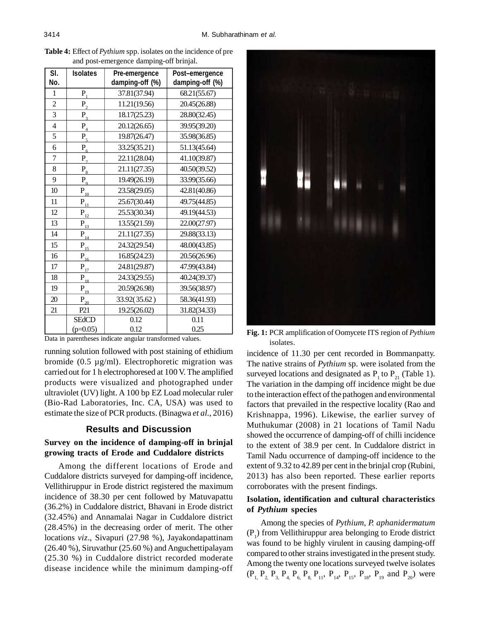| and post emergence aamping on oringan<br>SI.<br><b>Isolates</b> |                                                |                                  |                                   |  |  |
|-----------------------------------------------------------------|------------------------------------------------|----------------------------------|-----------------------------------|--|--|
| No.                                                             |                                                | Pre-emergence<br>damping-off (%) | Post-emergence<br>damping-off (%) |  |  |
| $\mathbf{1}$                                                    | $P_{1}$                                        | 37.81(37.94)                     | 68.21(55.67)                      |  |  |
| $\overline{c}$                                                  | $\mathbf{P}_{_{2}}$                            | 11.21(19.56)                     | 20.45(26.88)                      |  |  |
| $\overline{3}$                                                  | $P_3$                                          | 18.17(25.23)                     | 28.80(32.45)                      |  |  |
| 4                                                               | $P_4$                                          | 20.12(26.65)                     | 39.95(39.20)                      |  |  |
| 5                                                               | $P_5$                                          | 19.87(26.47)                     | 35.98(36.85)                      |  |  |
| 6                                                               | $P_6$                                          | 33.25(35.21)                     | 51.13(45.64)                      |  |  |
| $\overline{7}$                                                  | $P_7$                                          | 22.11(28.04)                     | 41.10(39.87)                      |  |  |
| 8                                                               | $P_{8}$                                        | 21.11(27.35)                     | 40.50(39.52)                      |  |  |
| 9                                                               | $P_{\rm o}$                                    | 19.49(26.19)                     | 33.99(35.66)                      |  |  |
| 10                                                              | $\bar{\text{P}}_{\underline{10}}$              | 23.58(29.05)                     | 42.81(40.86)                      |  |  |
| 11                                                              | $\bar{\text{P}}_{\underline{1}\underline{1}}$  | 25.67(30.44)                     | 49.75(44.85)                      |  |  |
| 12                                                              | $\rm P_{\underline{12}}$                       | 25.53(30.34)                     | 49.19(44.53)                      |  |  |
| 13                                                              | $\bar{\text{P}}_{\underline{13}}$              | 13.55(21.59)                     | 22.00(27.97)                      |  |  |
| 14                                                              | $\bar{\text{P}}_{\underline{14}}$              | 21.11(27.35)                     | 29.88(33.13)                      |  |  |
| 15                                                              | $\bar{\text{P}}_{\underline{15}}$              | 24.32(29.54)                     | 48.00(43.85)                      |  |  |
| 16                                                              | $\bar{P}_{\!\scriptscriptstyle\perp\!{\rm h}}$ | 16.85(24.23)                     | 20.56(26.96)                      |  |  |
| 17                                                              | $\mathbf{P}_{\underline{17}}$                  | 24.81(29.87)                     | 47.99(43.84)                      |  |  |
| 18                                                              | $\mathbf{P}_{_{\!\perp\!R}}$                   | 24.33(29.55)                     | 40.24(39.37)                      |  |  |
| 19                                                              | $P_{19}$                                       | 20.59(26.98)                     | 39.56(38.97)                      |  |  |
| 20                                                              | $P_{20}$                                       | 33.92(35.62)                     | 58.36(41.93)                      |  |  |
| 21                                                              | P <sub>21</sub>                                | 19.25(26.02)                     | 31.82(34.33)                      |  |  |
|                                                                 | <b>SEdCD</b>                                   | 0.12                             | 0.11                              |  |  |
|                                                                 | $(p=0.05)$                                     | 0.12                             | 0.25                              |  |  |

**Table 4:** Effect of *Pythium* spp. isolates on the incidence of pre and post-emergence damping-off brinjal.

Data in parentheses indicate angular transformed values.

running solution followed with post staining of ethidium bromide (0.5 µg/ml). Electrophoretic migration was carried out for 1 h electrophoresed at 100 V. The amplified products were visualized and photographed under ultraviolet (UV) light. A 100 bp EZ Load molecular ruler (Bio-Rad Laboratories, Inc. CA, USA) was used to estimate the size of PCR products. (Binagwa *et al.,* 2016)

## **Results and Discussion**

## **Survey on the incidence of damping-off in brinjal growing tracts of Erode and Cuddalore districts**

Among the different locations of Erode and Cuddalore districts surveyed for damping-off incidence, Vellithiruppur in Erode district registered the maximum incidence of 38.30 per cent followed by Matuvapattu (36.2%) in Cuddalore district, Bhavani in Erode district (32.45%) and Annamalai Nagar in Cuddalore district (28.45%) in the decreasing order of merit. The other locations *viz*., Sivapuri (27.98 %), Jayakondapattinam (26.40 %), Siruvathur (25.60 %) and Anguchettipalayam (25.30 %) in Cuddalore district recorded moderate disease incidence while the minimum damping-off



**Fig. 1:** PCR amplification of Oomycete ITS region of *Pythium* isolates.

incidence of 11.30 per cent recorded in Bommanpatty. The native strains of *Pythium* sp. were isolated from the surveyed locations and designated as  $P_1$  to  $P_{21}$  (Table 1). The variation in the damping off incidence might be due to the interaction effect of the pathogen and environmental factors that prevailed in the respective locality (Rao and Krishnappa, 1996). Likewise, the earlier survey of Muthukumar (2008) in 21 locations of Tamil Nadu showed the occurrence of damping-off of chilli incidence to the extent of 38.9 per cent. In Cuddalore district in Tamil Nadu occurrence of damping-off incidence to the extent of 9.32 to 42.89 per cent in the brinjal crop (Rubini, 2013) has also been reported. These earlier reports corroborates with the present findings.

## **Isolation, identification and cultural characteristics of** *Pythium* **species**

Among the species of *Pythium*, *P. aphanidermatum*  $(P_1)$  from Vellithiruppur area belonging to Erode district was found to be highly virulent in causing damping-off compared to other strains investigated in the present study. Among the twenty one locations surveyed twelve isolates  $(P_1, P_2, P_3, P_4, P_6, P_8, P_{11}, P_{14}, P_{15}, P_{18}, P_{19} \text{ and } P_{20})$  were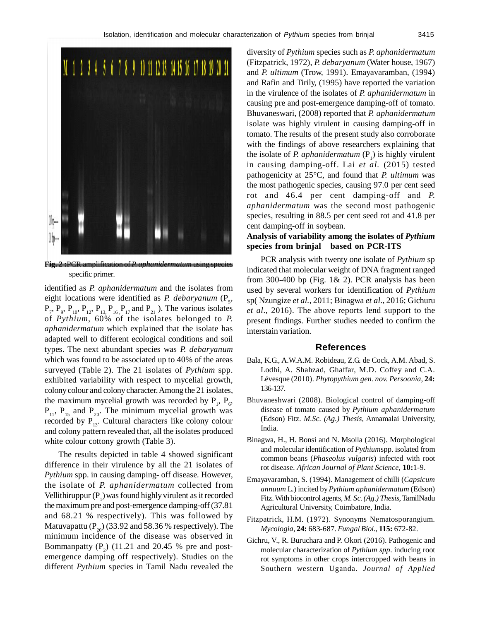

**Fig. 2 :**PCR amplification of *P. aphanidermatum* using species specific primer.

identified as *P. aphanidermatum* and the isolates from eight locations were identified as *P. debaryanum* (P<sub>5</sub>,  $P_7$ ,  $P_9$ ,  $P_{10}$ ,  $P_{12}$ ,  $P_{13}$ ,  $P_{16}$ ,  $P_{17}$  and  $P_{21}$ ). The various isolates of *Pythium*, 60% of the isolates belonged to *P. aphanidermatum* which explained that the isolate has adapted well to different ecological conditions and soil types. The next abundant species was *P. debaryanum* which was found to be associated up to 40% of the areas surveyed (Table 2). The 21 isolates of *Pythium* spp. exhibited variability with respect to mycelial growth, colony colour and colony character. Among the 21 isolates, the maximum mycelial growth was recorded by  $P_1$ ,  $P_6$ ,  $P_{11}$ ,  $P_{15}$  and  $P_{20}$ . The minimum mycelial growth was recorded by  $P_{13}$ . Cultural characters like colony colour and colony pattern revealed that, all the isolates produced white colour cottony growth (Table 3).

The results depicted in table 4 showed significant difference in their virulence by all the 21 isolates of *Pythium* spp. in causing damping- off disease. However, the isolate of *P. aphanidermatum* collected from Vellithiruppur  $(P_1)$  was found highly virulent as it recorded the maximum pre and post-emergence damping-off (37.81 and 68.21 % respectively). This was followed by Matuvapattu  $(P_{20})$  (33.92 and 58.36 % respectively). The minimum incidence of the disease was observed in Bommanpatty  $(P_2)$  (11.21 and 20.45 % pre and postemergence damping off respectively). Studies on the different *Pythium* species in Tamil Nadu revealed the diversity of *Pythium* species such as *P. aphanidermatum* (Fitzpatrick, 1972), *P. debaryanum* (Water house, 1967) and *P. ultimum* (Trow, 1991). Emayavaramban, (1994) and Rafin and Tirily, (1995) have reported the variation in the virulence of the isolates of *P. aphanidermatum* in causing pre and post-emergence damping-off of tomato. Bhuvaneswari, (2008) reported that *P. aphanidermatum* isolate was highly virulent in causing damping-off in tomato. The results of the present study also corroborate with the findings of above researchers explaining that the isolate of *P. aphanidermatum*  $(P_1)$  is highly virulent in causing damping-off. Lai *et al.* (2015) tested pathogenicity at 25°C*,* and found that *P. ultimum* was the most pathogenic species, causing 97.0 per cent seed rot and 46.4 per cent damping-off and *P. aphanidermatum* was the second most pathogenic species, resulting in 88.5 per cent seed rot and 41.8 per cent damping-off in soybean.

# **Analysis of variability among the isolates of** *Pythium* **species from brinjal based on PCR-ITS**

PCR analysis with twenty one isolate of *Pythium* sp indicated that molecular weight of DNA fragment ranged from 300-400 bp (Fig.  $1& 2$ ). PCR analysis has been used by several workers for identification of *Pythium* sp( Nzungize *et al.,* 2011; Binagwa *et al.,* 2016; Gichuru *et al.,* 2016). The above reports lend support to the present findings. Further studies needed to confirm the interstain variation.

#### **References**

- Bala, K.G., A.W.A.M. Robideau, Z.G. de Cock, A.M. Abad, S. Lodhi, A. Shahzad, Ghaffar, M.D. Coffey and C.A. Lévesque (2010). *Phytopythium gen. nov. Persoonia*, **24:** 136-137.
- Bhuvaneshwari (2008). Biological control of damping-off disease of tomato caused by *Pythium aphanidermatum* (Edson) Fitz. *M.Sc. (Ag.) Thesis*, Annamalai University, India.
- Binagwa, H., H. Bonsi and N. Msolla (2016). Morphological and molecular identification of *Pythium*spp. isolated from common beans (*Phaseolus vulgaris*) infected with root rot disease. *African Journal of Plant Science,* **10:**1-9.
- Emayavaramban, S. (1994). Management of chilli (*Capsicum annuum* L.) incited by *Pythium aphanidermatum* (Edson) Fitz. With biocontrol agents, *M. Sc. (Ag.) Thesis*, TamilNadu Agricultural University, Coimbatore, India.
- Fitzpatrick, H.M. (1972). Synonyms Nematosporangium. *Mycologia*, **24:** 683-687. *Fungal Biol*., **115:** 672-82.
- Gichru, V., R. Buruchara and P. Okori (2016). Pathogenic and molecular characterization of *Pythium spp*. inducing root rot symptoms in other crops intercropped with beans in Southern western Uganda. *Journal of Applied*